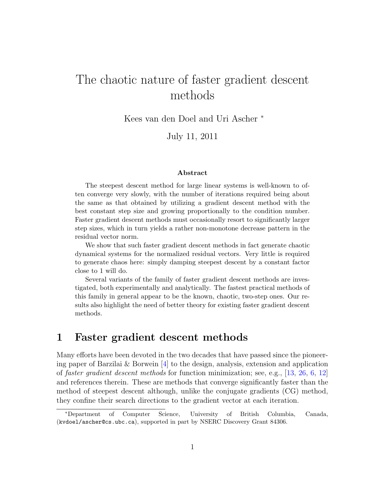# The chaotic nature of faster gradient descent methods

Kees van den Doel and Uri Ascher <sup>∗</sup>

July 11, 2011

#### Abstract

The steepest descent method for large linear systems is well-known to often converge very slowly, with the number of iterations required being about the same as that obtained by utilizing a gradient descent method with the best constant step size and growing proportionally to the condition number. Faster gradient descent methods must occasionally resort to significantly larger step sizes, which in turn yields a rather non-monotone decrease pattern in the residual vector norm.

We show that such faster gradient descent methods in fact generate chaotic dynamical systems for the normalized residual vectors. Very little is required to generate chaos here: simply damping steepest descent by a constant factor close to 1 will do.

Several variants of the family of faster gradient descent methods are investigated, both experimentally and analytically. The fastest practical methods of this family in general appear to be the known, chaotic, two-step ones. Our results also highlight the need of better theory for existing faster gradient descent methods.

#### 1 Faster gradient descent methods

Many efforts have been devoted in the two decades that have passed since the pioneering paper of Barzilai & Borwein [\[4\]](#page-24-0) to the design, analysis, extension and application of faster gradient descent methods for function minimization; see, e.g., [\[13,](#page-25-0) [26,](#page-26-0) [6,](#page-25-1) [12\]](#page-25-2) and references therein. These are methods that converge significantly faster than the method of steepest descent although, unlike the conjugate gradients (CG) method, they confine their search directions to the gradient vector at each iteration.

<sup>∗</sup>Department of Computer Science, University of British Columbia, Canada, (kvdoel/ascher@cs.ubc.ca), supported in part by NSERC Discovery Grant 84306.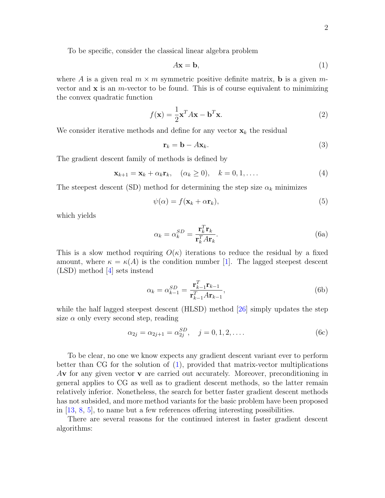To be specific, consider the classical linear algebra problem

<span id="page-1-0"></span>
$$
A\mathbf{x} = \mathbf{b},\tag{1}
$$

where A is a given real  $m \times m$  symmetric positive definite matrix, **b** is a given mvector and  $x$  is an *m*-vector to be found. This is of course equivalent to minimizing the convex quadratic function

<span id="page-1-4"></span>
$$
f(\mathbf{x}) = \frac{1}{2}\mathbf{x}^T A \mathbf{x} - \mathbf{b}^T \mathbf{x}.
$$
 (2)

We consider iterative methods and define for any vector  $x_k$  the residual

$$
\mathbf{r}_k = \mathbf{b} - A\mathbf{x}_k. \tag{3}
$$

The gradient descent family of methods is defined by

<span id="page-1-2"></span>
$$
\mathbf{x}_{k+1} = \mathbf{x}_k + \alpha_k \mathbf{r}_k, \quad (\alpha_k \ge 0), \quad k = 0, 1, \dots
$$
 (4)

The steepest descent (SD) method for determining the step size  $\alpha_k$  minimizes

<span id="page-1-3"></span>
$$
\psi(\alpha) = f(\mathbf{x}_k + \alpha \mathbf{r}_k),\tag{5}
$$

which yields

<span id="page-1-1"></span>
$$
\alpha_k = \alpha_k^{SD} = \frac{\mathbf{r}_k^T \mathbf{r}_k}{\mathbf{r}_k^T A \mathbf{r}_k}.
$$
\n(6a)

This is a slow method requiring  $O(\kappa)$  iterations to reduce the residual by a fixed amount, where  $\kappa = \kappa(A)$  is the condition number [\[1\]](#page-24-1). The lagged steepest descent (LSD) method [\[4\]](#page-24-0) sets instead

$$
\alpha_k = \alpha_{k-1}^{SD} = \frac{\mathbf{r}_{k-1}^T \mathbf{r}_{k-1}}{\mathbf{r}_{k-1}^T A \mathbf{r}_{k-1}},\tag{6b}
$$

while the half lagged steepest descent (HLSD) method [\[26\]](#page-26-0) simply updates the step size  $\alpha$  only every second step, reading

$$
\alpha_{2j} = \alpha_{2j+1} = \alpha_{2j}^{SD}, \quad j = 0, 1, 2, \dots
$$
 (6c)

To be clear, no one we know expects any gradient descent variant ever to perform better than CG for the solution of  $(1)$ , provided that matrix-vector multiplications  $A$ **v** for any given vector **v** are carried out accurately. Moreover, preconditioning in general applies to CG as well as to gradient descent methods, so the latter remain relatively inferior. Nonetheless, the search for better faster gradient descent methods has not subsided, and more method variants for the basic problem have been proposed in [\[13,](#page-25-0) [8,](#page-25-3) [5\]](#page-25-4), to name but a few references offering interesting possibilities.

There are several reasons for the continued interest in faster gradient descent algorithms: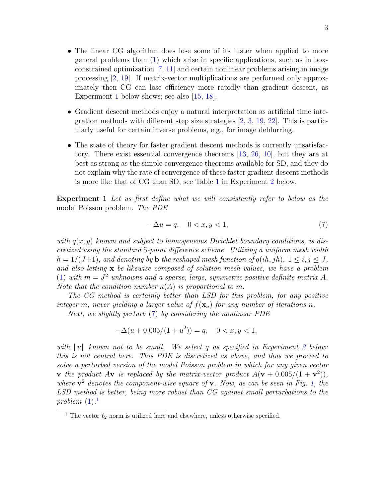- The linear CG algorithm does lose some of its luster when applied to more general problems than [\(1\)](#page-1-0) which arise in specific applications, such as in boxconstrained optimization [\[7,](#page-25-5) [11\]](#page-25-6) and certain nonlinear problems arising in image processing [\[2,](#page-24-2) [19\]](#page-25-7). If matrix-vector multiplications are performed only approximately then CG can lose efficiency more rapidly than gradient descent, as Experiment [1](#page-2-0) below shows; see also [\[15,](#page-25-8) [18\]](#page-25-9).
- Gradient descent methods enjoy a natural interpretation as artificial time integration methods with different step size strategies [\[2,](#page-24-2) [3,](#page-24-3) [19,](#page-25-7) [22\]](#page-26-1). This is particularly useful for certain inverse problems, e.g., for image deblurring.
- The state of theory for faster gradient descent methods is currently unsatisfactory. There exist essential convergence theorems [\[13,](#page-25-0) [26,](#page-26-0) [10\]](#page-25-10), but they are at best as strong as the simple convergence theorems available for SD, and they do not explain why the rate of convergence of these faster gradient descent methods is more like that of CG than SD, see Table [1](#page-5-0) in Experiment [2](#page-5-1) below.

<span id="page-2-0"></span>Experiment 1 Let us first define what we will consistently refer to below as the model Poisson problem. The PDE

<span id="page-2-1"></span>
$$
-\Delta u = q, \quad 0 < x, y < 1,\tag{7}
$$

with  $q(x, y)$  known and subject to homogeneous Dirichlet boundary conditions, is discretized using the standard 5-point difference scheme. Utilizing a uniform mesh width  $h = 1/(J+1)$ , and denoting by **b** the reshaped mesh function of  $q(ih, jh)$ ,  $1 \leq i, j \leq J$ , and also letting  $x$  be likewise composed of solution mesh values, we have a problem [\(1\)](#page-1-0) with  $m = J^2$  unknowns and a sparse, large, symmetric positive definite matrix A. Note that the condition number  $\kappa(A)$  is proportional to m.

The CG method is certainly better than LSD for this problem, for any positive integer m, never yielding a larger value of  $f(\mathbf{x}_n)$  for any number of iterations n.

Next, we slightly perturb [\(7\)](#page-2-1) by considering the nonlinear PDE

$$
-\Delta(u+0.005/(1+u^2)) = q, \quad 0 < x, y < 1,
$$

with ||u|| known not to be small. We select q as specified in Experiment [2](#page-5-1) below: this is not central here. This PDE is discretized as above, and thus we proceed to solve a perturbed version of the model Poisson problem in which for any given vector **v** the product A**v** is replaced by the matrix-vector product  $A(\mathbf{v} + 0.005/(1+\mathbf{v}^2))$ , where  $v^2$  denotes the component-wise square of v. Now, as can be seen in Fig. [1,](#page-3-0) the LSD method is better, being more robust than CG against small perturbations to the problem  $(1).<sup>1</sup>$  $(1).<sup>1</sup>$  $(1).<sup>1</sup>$  $(1).<sup>1</sup>$ 

<span id="page-2-2"></span><sup>&</sup>lt;sup>1</sup> The vector  $\ell_2$  norm is utilized here and elsewhere, unless otherwise specified.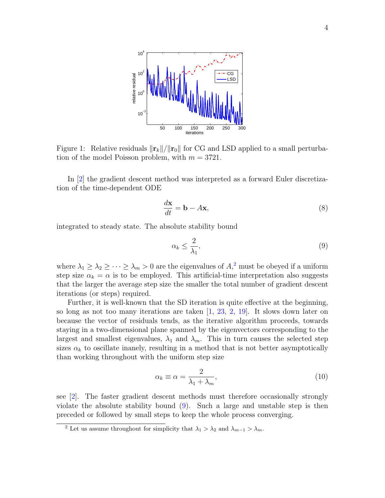

<span id="page-3-0"></span>Figure 1: Relative residuals  $\|\mathbf{r}_k\|/\|\mathbf{r}_0\|$  for CG and LSD applied to a small perturbation of the model Poisson problem, with  $m = 3721$ .

In [\[2\]](#page-24-2) the gradient descent method was interpreted as a forward Euler discretization of the time-dependent ODE

<span id="page-3-3"></span>
$$
\frac{d\mathbf{x}}{dt} = \mathbf{b} - A\mathbf{x},\tag{8}
$$

integrated to steady state. The absolute stability bound

<span id="page-3-2"></span>
$$
\alpha_k \le \frac{2}{\lambda_1},\tag{9}
$$

where  $\lambda_1 \geq \lambda_2 \geq \cdots \geq \lambda_m > 0$  $\lambda_1 \geq \lambda_2 \geq \cdots \geq \lambda_m > 0$  $\lambda_1 \geq \lambda_2 \geq \cdots \geq \lambda_m > 0$  are the eigenvalues of  $A$ <sup>2</sup>, must be obeyed if a uniform step size  $\alpha_k = \alpha$  is to be employed. This artificial-time interpretation also suggests that the larger the average step size the smaller the total number of gradient descent iterations (or steps) required.

Further, it is well-known that the SD iteration is quite effective at the beginning, so long as not too many iterations are taken [\[1,](#page-24-1) [23,](#page-26-2) [2,](#page-24-2) [19\]](#page-25-7). It slows down later on because the vector of residuals tends, as the iterative algorithm proceeds, towards staying in a two-dimensional plane spanned by the eigenvectors corresponding to the largest and smallest eigenvalues,  $\lambda_1$  and  $\lambda_m$ . This in turn causes the selected step sizes  $\alpha_k$  to oscillate inanely, resulting in a method that is not better asymptotically than working throughout with the uniform step size

$$
\alpha_k \equiv \alpha = \frac{2}{\lambda_1 + \lambda_m},\tag{10}
$$

see [\[2\]](#page-24-2). The faster gradient descent methods must therefore occasionally strongly violate the absolute stability bound [\(9\)](#page-3-2). Such a large and unstable step is then preceded or followed by small steps to keep the whole process converging.

<span id="page-3-1"></span><sup>&</sup>lt;sup>2</sup> Let us assume throughout for simplicity that  $\lambda_1 > \lambda_2$  and  $\lambda_{m-1} > \lambda_m$ .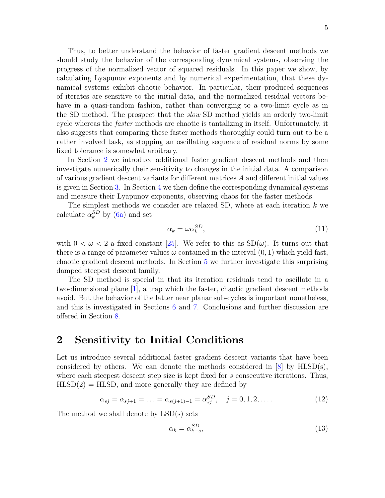Thus, to better understand the behavior of faster gradient descent methods we should study the behavior of the corresponding dynamical systems, observing the progress of the normalized vector of squared residuals. In this paper we show, by calculating Lyapunov exponents and by numerical experimentation, that these dynamical systems exhibit chaotic behavior. In particular, their produced sequences of iterates are sensitive to the initial data, and the normalized residual vectors behave in a quasi-random fashion, rather than converging to a two-limit cycle as in the SD method. The prospect that the *slow* SD method yields an orderly two-limit cycle whereas the faster methods are chaotic is tantalizing in itself. Unfortunately, it also suggests that comparing these faster methods thoroughly could turn out to be a rather involved task, as stopping an oscillating sequence of residual norms by some fixed tolerance is somewhat arbitrary.

In Section [2](#page-4-0) we introduce additional faster gradient descent methods and then investigate numerically their sensitivity to changes in the initial data. A comparison of various gradient descent variants for different matrices A and different initial values is given in Section [3.](#page-6-0) In Section [4](#page-10-0) we then define the corresponding dynamical systems and measure their Lyapunov exponents, observing chaos for the faster methods.

The simplest methods we consider are relaxed SD, where at each iteration  $k$  we calculate  $\alpha_k^{SD}$  by [\(6a\)](#page-1-1) and set

$$
\alpha_k = \omega \alpha_k^{SD},\tag{11}
$$

with  $0 < \omega < 2$  a fixed constant [\[25\]](#page-26-3). We refer to this as  $SD(\omega)$ . It turns out that there is a range of parameter values  $\omega$  contained in the interval  $(0, 1)$  which yield fast, chaotic gradient descent methods. In Section [5](#page-14-0) we further investigate this surprising damped steepest descent family.

The SD method is special in that its iteration residuals tend to oscillate in a two-dimensional plane [\[1\]](#page-24-1), a trap which the faster, chaotic gradient descent methods avoid. But the behavior of the latter near planar sub-cycles is important nonetheless, and this is investigated in Sections [6](#page-18-0) and [7.](#page-19-0) Conclusions and further discussion are offered in Section [8.](#page-22-0)

## <span id="page-4-0"></span>2 Sensitivity to Initial Conditions

Let us introduce several additional faster gradient descent variants that have been considered by others. We can denote the methods considered in  $[8]$  by HLSD(s), where each steepest descent step size is kept fixed for s consecutive iterations. Thus,  $HLSD(2) = HLSD$ , and more generally they are defined by

$$
\alpha_{sj} = \alpha_{sj+1} = \dots = \alpha_{s(j+1)-1} = \alpha_{sj}^{SD}, \quad j = 0, 1, 2, \dots
$$
 (12)

The method we shall denote by LSD(s) sets

$$
\alpha_k = \alpha_{k-s}^{SD},\tag{13}
$$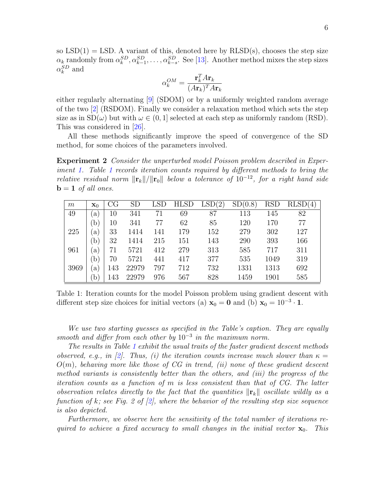so  $LSD(1) = LSD$ . A variant of this, denoted here by  $RLSD(s)$ , chooses the step size  $\alpha_k$  randomly from  $\alpha_k^{SD}, \alpha_{k-1}^{SD}, \ldots, \alpha_{k-s}^{SD}$ . See [\[13\]](#page-25-0). Another method mixes the step sizes  $\alpha_k^{SD}$  and

$$
\alpha_k^{OM} = \frac{\mathbf{r}_k^T A \mathbf{r}_k}{(A \mathbf{r}_k)^T A \mathbf{r}_k}
$$

either regularly alternating [\[9\]](#page-25-11) (SDOM) or by a uniformly weighted random average of the two [\[2\]](#page-24-2) (RSDOM). Finally we consider a relaxation method which sets the step size as in  $SD(\omega)$  but with  $\omega \in (0, 1]$  selected at each step as uniformly random (RSD). This was considered in [\[26\]](#page-26-0).

All these methods significantly improve the speed of convergence of the SD method, for some choices of the parameters involved.

<span id="page-5-1"></span>**Experiment 2** Consider the unperturbed model Poisson problem described in Experiment [1.](#page-2-0) Table [1](#page-5-0) records iteration counts required by different methods to bring the relative residual norm  $\|\mathbf{r}_k\|/\|\mathbf{r}_0\|$  below a tolerance of  $10^{-12}$ , for a right hand side  $\mathbf{b} = \mathbf{1}$  of all ones.

| m    | $\mathbf{x}_0$ | CG  | <b>SD</b> |     | <b>HLSD</b> | LSD(2) | SD(0.8) | <b>RSD</b> | (4) |
|------|----------------|-----|-----------|-----|-------------|--------|---------|------------|-----|
| 49   | a)             | 10  | 341       | 71  | 69          | 87     | 113     | 145        | 82  |
|      | b)             | 10  | 341       | 77  | 62          | 85     | 120     | 170        | 77  |
| 225  | a)             | 33  | 1414      | 141 | 179         | 152    | 279     | 302        | 127 |
|      | b)             | 32  | 1414      | 215 | 151         | 143    | 290     | 393        | 166 |
| 961  | a)             | 71  | 5721      | 412 | 279         | 313    | 585     | 717        | 311 |
|      | b)             | 70  | 5721      | 441 | 417         | 377    | 535     | 1049       | 319 |
| 3969 | a)             | 143 | 22979     | 797 | 712         | 732    | 1331    | 1313       | 692 |
|      | $\mathbf{b}$   | 143 | 22979     | 976 | 567         | 828    | 1459    | 1901       | 585 |

<span id="page-5-0"></span>Table 1: Iteration counts for the model Poisson problem using gradient descent with different step size choices for initial vectors (a)  $\mathbf{x}_0 = \mathbf{0}$  and (b)  $\mathbf{x}_0 = 10^{-3} \cdot \mathbf{1}$ .

We use two starting guesses as specified in the Table's caption. They are equally smooth and differ from each other by  $10^{-3}$  in the maximum norm.

The results in Table [1](#page-5-0) exhibit the usual traits of the faster gradient descent methods observed, e.g., in [\[2\]](#page-24-2). Thus, (i) the iteration counts increase much slower than  $\kappa =$  $O(m)$ , behaving more like those of CG in trend, (ii) none of these gradient descent method variants is consistently better than the others, and (iii) the progress of the iteration counts as a function of m is less consistent than that of CG. The latter observation relates directly to the fact that the quantities  $\|\mathbf{r}_k\|$  oscillate wildly as a function of k; see Fig. 2 of  $[2]$ , where the behavior of the resulting step size sequence is also depicted.

Furthermore, we observe here the sensitivity of the total number of iterations required to achieve a fixed accuracy to small changes in the initial vector  $\mathbf{x}_0$ . This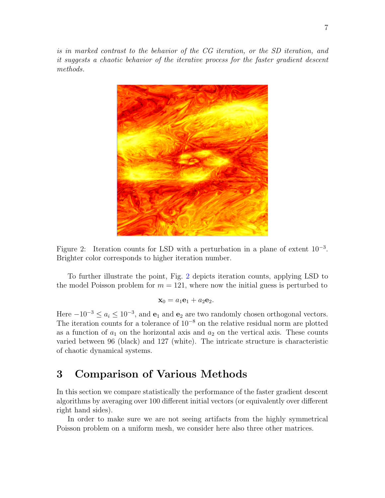is in marked contrast to the behavior of the CG iteration, or the SD iteration, and it suggests a chaotic behavior of the iterative process for the faster gradient descent methods.



<span id="page-6-1"></span>

To further illustrate the point, Fig. [2](#page-6-1) depicts iteration counts, applying LSD to the model Poisson problem for  $m = 121$ , where now the initial guess is perturbed to

$$
\mathbf{x}_0 = a_1 \mathbf{e}_1 + a_2 \mathbf{e}_2.
$$

Here  $-10^{-3} \le a_i \le 10^{-3}$ , and  $\mathbf{e}_1$  and  $\mathbf{e}_2$  are two randomly chosen orthogonal vectors. The iteration counts for a tolerance of 10<sup>−</sup><sup>8</sup> on the relative residual norm are plotted as a function of  $a_1$  on the horizontal axis and  $a_2$  on the vertical axis. These counts varied between 96 (black) and 127 (white). The intricate structure is characteristic of chaotic dynamical systems.

# <span id="page-6-0"></span>3 Comparison of Various Methods

In this section we compare statistically the performance of the faster gradient descent algorithms by averaging over 100 different initial vectors (or equivalently over different right hand sides).

In order to make sure we are not seeing artifacts from the highly symmetrical Poisson problem on a uniform mesh, we consider here also three other matrices.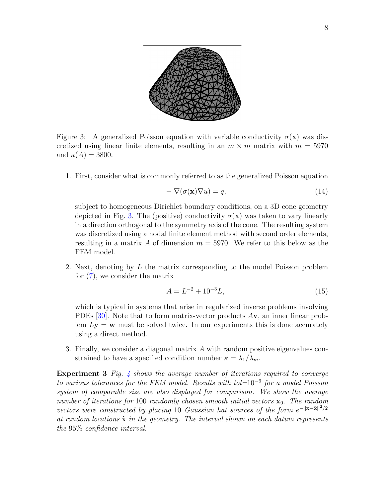

<span id="page-7-0"></span>Figure 3: A generalized Poisson equation with variable conductivity  $\sigma(\mathbf{x})$  was discretized using linear finite elements, resulting in an  $m \times m$  matrix with  $m = 5970$ and  $\kappa(A) = 3800$ .

1. First, consider what is commonly referred to as the generalized Poisson equation

<span id="page-7-1"></span>
$$
-\nabla(\sigma(\mathbf{x})\nabla u) = q,\tag{14}
$$

subject to homogeneous Dirichlet boundary conditions, on a 3D cone geometry depicted in Fig. [3.](#page-7-0) The (positive) conductivity  $\sigma(\mathbf{x})$  was taken to vary linearly in a direction orthogonal to the symmetry axis of the cone. The resulting system was discretized using a nodal finite element method with second order elements, resulting in a matrix A of dimension  $m = 5970$ . We refer to this below as the FEM model.

2. Next, denoting by L the matrix corresponding to the model Poisson problem for [\(7\)](#page-2-1), we consider the matrix

<span id="page-7-2"></span>
$$
A = L^{-2} + 10^{-3}L,\t\t(15)
$$

which is typical in systems that arise in regularized inverse problems involving PDEs  $[30]$ . Note that to form matrix-vector products  $A$ v, an inner linear problem  $Ly = w$  must be solved twice. In our experiments this is done accurately using a direct method.

3. Finally, we consider a diagonal matrix A with random positive eigenvalues constrained to have a specified condition number  $\kappa = \lambda_1/\lambda_m$ .

**Experiment 3** Fig. [4](#page-8-0) shows the average number of iterations required to converge to various tolerances for the FEM model. Results with tol= $10^{-6}$  for a model Poisson system of comparable size are also displayed for comparison. We show the average number of iterations for 100 randomly chosen smooth initial vectors  $x_0$ . The random vectors were constructed by placing 10 Gaussian hat sources of the form  $e^{-\frac{||\mathbf{x}-\tilde{\mathbf{x}}||^2}{2}}$ at random locations  $\tilde{\mathbf{x}}$  in the geometry. The interval shown on each datum represents the 95% confidence interval.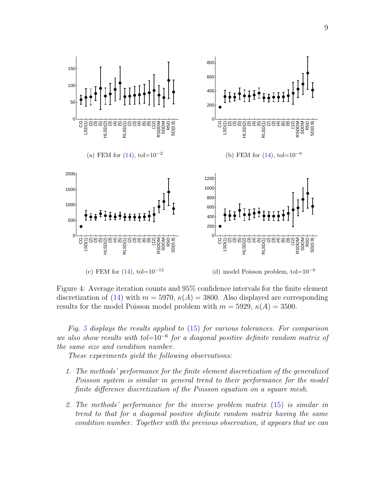

<span id="page-8-0"></span>Figure 4: Average iteration counts and 95% confidence intervals for the finite element discretization of [\(14\)](#page-7-1) with  $m = 5970$ ,  $\kappa(A) = 3800$ . Also displayed are corresponding results for the model Poisson model problem with  $m = 5929$ ,  $\kappa(A) = 3500$ .

Fig. [5](#page-9-0) displays the results applied to  $(15)$  for various tolerances. For comparison we also show results with tol= $10^{-6}$  for a diagonal positive definite random matrix of the same size and condition number.

These experiments yield the following observations:

- 1. The methods' performance for the finite element discretization of the generalized Poisson system is similar in general trend to their performance for the model finite difference discretization of the Poisson equation on a square mesh.
- 2. The methods' performance for the inverse problem matrix [\(15\)](#page-7-2) is similar in trend to that for a diagonal positive definite random matrix having the same condition number. Together with the previous observation, it appears that we can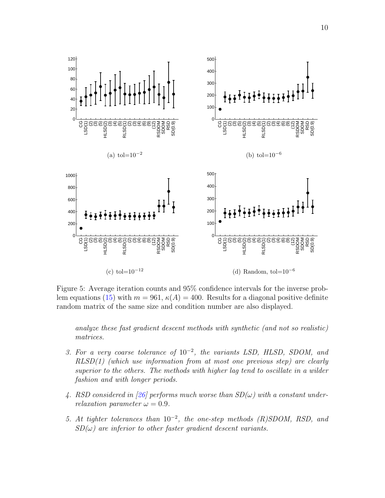

<span id="page-9-0"></span>Figure 5: Average iteration counts and 95% confidence intervals for the inverse prob-lem equations [\(15\)](#page-7-2) with  $m = 961$ ,  $\kappa(A) = 400$ . Results for a diagonal positive definite random matrix of the same size and condition number are also displayed.

analyze these fast gradient descent methods with synthetic (and not so realistic) matrices.

- 3. For a very coarse tolerance of  $10^{-2}$ , the variants LSD, HLSD, SDOM, and RLSD(1) (which use information from at most one previous step) are clearly superior to the others. The methods with higher lag tend to oscillate in a wilder fashion and with longer periods.
- 4. RSD considered in [\[26\]](#page-26-0) performs much worse than  $SD(\omega)$  with a constant underrelaxation parameter  $\omega = 0.9$ .
- 5. At tighter tolerances than  $10^{-2}$ , the one-step methods (R)SDOM, RSD, and  $SD(\omega)$  are inferior to other faster gradient descent variants.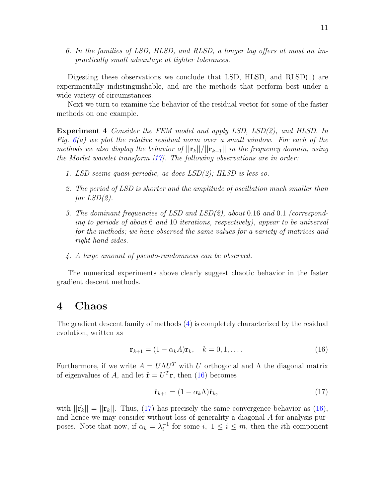6. In the families of LSD, HLSD, and RLSD, a longer lag offers at most an impractically small advantage at tighter tolerances.

Digesting these observations we conclude that LSD, HLSD, and RLSD(1) are experimentally indistinguishable, and are the methods that perform best under a wide variety of circumstances.

Next we turn to examine the behavior of the residual vector for some of the faster methods on one example.

Experiment 4 Consider the FEM model and apply LSD, LSD(2), and HLSD. In Fig.  $6(a)$  $6(a)$  we plot the relative residual norm over a small window. For each of the methods we also display the behavior of  $||\mathbf{r}_k||/||\mathbf{r}_{k-1}||$  in the frequency domain, using the Morlet wavelet transform  $[17]$ . The following observations are in order:

- 1. LSD seems quasi-periodic, as does LSD(2); HLSD is less so.
- 2. The period of LSD is shorter and the amplitude of oscillation much smaller than for  $LSD(2)$ .
- 3. The dominant frequencies of LSD and LSD(2), about 0.16 and 0.1 (corresponding to periods of about 6 and 10 iterations, respectively), appear to be universal for the methods; we have observed the same values for a variety of matrices and right hand sides.
- 4. A large amount of pseudo-randomness can be observed.

The numerical experiments above clearly suggest chaotic behavior in the faster gradient descent methods.

### <span id="page-10-0"></span>4 Chaos

The gradient descent family of methods [\(4\)](#page-1-2) is completely characterized by the residual evolution, written as

<span id="page-10-1"></span>
$$
\mathbf{r}_{k+1} = (1 - \alpha_k A)\mathbf{r}_k, \quad k = 0, 1, \dots
$$
\n
$$
(16)
$$

Furthermore, if we write  $A = U\Lambda U^T$  with U orthogonal and  $\Lambda$  the diagonal matrix of eigenvalues of A, and let  $\hat{\mathbf{r}} = U^T \mathbf{r}$ , then [\(16\)](#page-10-1) becomes

<span id="page-10-2"></span>
$$
\hat{\mathbf{r}}_{k+1} = (1 - \alpha_k \Lambda) \hat{\mathbf{r}}_k,\tag{17}
$$

with  $||\hat{\mathbf{r}}_k|| = ||\mathbf{r}_k||$ . Thus, [\(17\)](#page-10-2) has precisely the same convergence behavior as [\(16\)](#page-10-1), and hence we may consider without loss of generality a diagonal A for analysis purposes. Note that now, if  $\alpha_k = \lambda_i^{-1}$  $i_i^{-1}$  for some  $i, 1 \leq i \leq m$ , then the *i*th component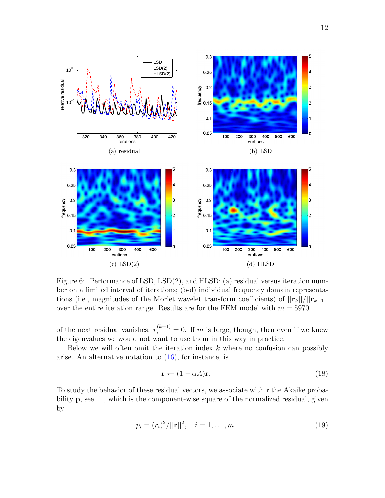

<span id="page-11-0"></span>Figure 6: Performance of LSD, LSD(2), and HLSD: (a) residual versus iteration number on a limited interval of iterations; (b-d) individual frequency domain representations (i.e., magnitudes of the Morlet wavelet transform coefficients) of  $||\mathbf{r}_k||/||\mathbf{r}_{k-1}||$ over the entire iteration range. Results are for the FEM model with  $m = 5970$ .

of the next residual vanishes:  $r_i^{(k+1)} = 0$ . If m is large, though, then even if we knew the eigenvalues we would not want to use them in this way in practice.

Below we will often omit the iteration index  $k$  where no confusion can possibly arise. An alternative notation to  $(16)$ , for instance, is

<span id="page-11-1"></span>
$$
\mathbf{r} \leftarrow (1 - \alpha A)\mathbf{r}.\tag{18}
$$

To study the behavior of these residual vectors, we associate with r the Akaike probability  $\bf{p}$ , see [\[1\]](#page-24-1), which is the component-wise square of the normalized residual, given by

<span id="page-11-2"></span>
$$
p_i = (r_i)^2 / ||\mathbf{r}||^2, \quad i = 1, \dots, m. \tag{19}
$$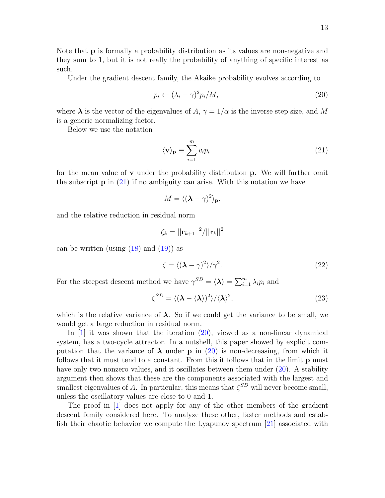Note that p is formally a probability distribution as its values are non-negative and they sum to 1, but it is not really the probability of anything of specific interest as such.

Under the gradient descent family, the Akaike probability evolves according to

<span id="page-12-1"></span>
$$
p_i \leftarrow (\lambda_i - \gamma)^2 p_i / M,\tag{20}
$$

where  $\lambda$  is the vector of the eigenvalues of A,  $\gamma = 1/\alpha$  is the inverse step size, and M is a generic normalizing factor.

Below we use the notation

<span id="page-12-0"></span>
$$
\langle \mathbf{v} \rangle_{\mathbf{p}} \equiv \sum_{i=1}^{m} v_i p_i \tag{21}
$$

for the mean value of  $\bf{v}$  under the probability distribution  $\bf{p}$ . We will further omit the subscript  $p$  in [\(21\)](#page-12-0) if no ambiguity can arise. With this notation we have

$$
M = \langle (\mathbf{\lambda} - \gamma)^2 \rangle_{\mathbf{p}},
$$

and the relative reduction in residual norm

$$
\zeta_k = ||{\bf r}_{k+1}||^2/||{\bf r}_k||^2
$$

can be written (using  $(18)$  and  $(19)$ ) as

<span id="page-12-3"></span><span id="page-12-2"></span>
$$
\zeta = \langle (\lambda - \gamma)^2 \rangle / \gamma^2. \tag{22}
$$

For the steepest descent method we have  $\gamma^{SD} = \langle \mathbf{\lambda} \rangle = \sum_{i=1}^{m} \lambda_i p_i$  and

$$
\zeta^{SD} = \langle (\lambda - \langle \lambda \rangle)^2 \rangle / \langle \lambda \rangle^2, \tag{23}
$$

which is the relative variance of  $\lambda$ . So if we could get the variance to be small, we would get a large reduction in residual norm.

In  $[1]$  it was shown that the iteration  $(20)$ , viewed as a non-linear dynamical system, has a two-cycle attractor. In a nutshell, this paper showed by explicit computation that the variance of  $\lambda$  under **p** in [\(20\)](#page-12-1) is non-decreasing, from which it follows that it must tend to a constant. From this it follows that in the limit p must have only two nonzero values, and it oscillates between them under  $(20)$ . A stability argument then shows that these are the components associated with the largest and smallest eigenvalues of A. In particular, this means that  $\zeta^{SD}$  will never become small, unless the oscillatory values are close to 0 and 1.

The proof in [\[1\]](#page-24-1) does not apply for any of the other members of the gradient descent family considered here. To analyze these other, faster methods and establish their chaotic behavior we compute the Lyapunov spectrum [\[21\]](#page-26-5) associated with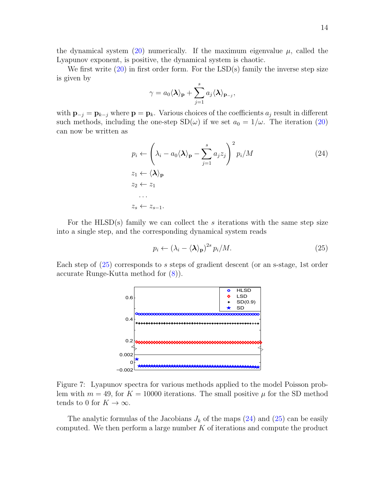the dynamical system [\(20\)](#page-12-1) numerically. If the maximum eigenvalue  $\mu$ , called the Lyapunov exponent, is positive, the dynamical system is chaotic.

We first write  $(20)$  in first order form. For the LSD(s) family the inverse step size is given by

<span id="page-13-1"></span>
$$
\gamma = a_0 \langle \mathbf{\lambda} \rangle_{\mathbf{p}} + \sum_{j=1}^s a_j \langle \mathbf{\lambda} \rangle_{\mathbf{p}_{-j}},
$$

with  $\mathbf{p}_{-j} = \mathbf{p}_{k-j}$  where  $\mathbf{p} = \mathbf{p}_k$ . Various choices of the coefficients  $a_j$  result in different such methods, including the one-step  $SD(\omega)$  if we set  $a_0 = 1/\omega$ . The iteration [\(20\)](#page-12-1) can now be written as

$$
p_i \leftarrow \left(\lambda_i - a_0 \langle \mathbf{\lambda} \rangle_{\mathbf{p}} - \sum_{j=1}^s a_j z_j\right)^2 p_i / M
$$
  
\n
$$
z_1 \leftarrow \langle \mathbf{\lambda} \rangle_{\mathbf{p}}
$$
  
\n
$$
z_2 \leftarrow z_1
$$
  
\n...  
\n
$$
z_s \leftarrow z_{s-1}.
$$
  
\n(24)

For the HLSD(s) family we can collect the s iterations with the same step size into a single step, and the corresponding dynamical system reads

<span id="page-13-0"></span>
$$
p_i \leftarrow (\lambda_i - \langle \lambda \rangle_p)^{2s} p_i / M. \tag{25}
$$

Each step of [\(25\)](#page-13-0) corresponds to s steps of gradient descent (or an s-stage, 1st order accurate Runge-Kutta method for [\(8\)](#page-3-3)).



<span id="page-13-2"></span>Figure 7: Lyapunov spectra for various methods applied to the model Poisson problem with  $m = 49$ , for  $K = 10000$  iterations. The small positive  $\mu$  for the SD method tends to 0 for  $K \to \infty$ .

The analytic formulas of the Jacobians  $J_k$  of the maps  $(24)$  and  $(25)$  can be easily computed. We then perform a large number  $K$  of iterations and compute the product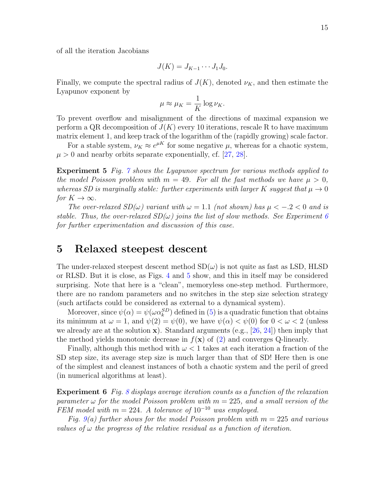of all the iteration Jacobians

$$
J(K) = J_{K-1} \cdots J_1 J_0.
$$

Finally, we compute the spectral radius of  $J(K)$ , denoted  $\nu_K$ , and then estimate the Lyapunov exponent by

$$
\mu \approx \mu_K = \frac{1}{K} \log \nu_K.
$$

To prevent overflow and misalignment of the directions of maximal expansion we perform a QR decomposition of  $J(K)$  every 10 iterations, rescale R to have maximum matrix element 1, and keep track of the logarithm of the (rapidly growing) scale factor.

For a stable system,  $\nu_K \approx e^{\mu K}$  for some negative  $\mu$ , whereas for a chaotic system,  $\mu > 0$  and nearby orbits separate exponentially, cf. [\[27,](#page-26-6) [28\]](#page-26-7).

**Experiment 5** Fig.  $\gamma$  shows the Lyapunov spectrum for various methods applied to the model Poisson problem with  $m = 49$ . For all the fast methods we have  $\mu > 0$ , whereas SD is marginally stable: further experiments with larger K suggest that  $\mu \to 0$ for  $K \to \infty$ .

The over-relaxed  $SD(\omega)$  variant with  $\omega = 1.1$  (not shown) has  $\mu < -0.2 < 0$  and is stable. Thus, the over-relaxed  $SD(\omega)$  joins the list of slow methods. See Experiment [6](#page-14-1) for further experimentation and discussion of this case.

#### <span id="page-14-0"></span>5 Relaxed steepest descent

The under-relaxed steepest descent method  $SD(\omega)$  is not quite as fast as LSD, HLSD or RLSD. But it is close, as Figs. [4](#page-8-0) and [5](#page-9-0) show, and this in itself may be considered surprising. Note that here is a "clean", memoryless one-step method. Furthermore, there are no random parameters and no switches in the step size selection strategy (such artifacts could be considered as external to a dynamical system).

Moreover, since  $\psi(\alpha) = \psi(\omega \alpha_k^{SD})$  defined in [\(5\)](#page-1-3) is a quadratic function that obtains its minimum at  $\omega = 1$ , and  $\psi(2) = \psi(0)$ , we have  $\psi(\alpha) < \psi(0)$  for  $0 < \omega < 2$  (unless we already are at the solution  $\mathbf{x}$ ). Standard arguments (e.g., [\[26,](#page-26-0) [24\]](#page-26-8)) then imply that the method yields monotonic decrease in  $f(\mathbf{x})$  of [\(2\)](#page-1-4) and converges Q-linearly.

Finally, although this method with  $\omega < 1$  takes at each iteration a fraction of the SD step size, its average step size is much larger than that of SD! Here then is one of the simplest and cleanest instances of both a chaotic system and the peril of greed (in numerical algorithms at least).

<span id="page-14-1"></span>**Experiment 6** Fig. [8](#page-15-0) displays average iteration counts as a function of the relaxation parameter  $\omega$  for the model Poisson problem with  $m = 225$ , and a small version of the FEM model with  $m = 224$ . A tolerance of  $10^{-10}$  was employed.

Fig. [9\(](#page-16-0)a) further shows for the model Poisson problem with  $m = 225$  and various values of  $\omega$  the progress of the relative residual as a function of iteration.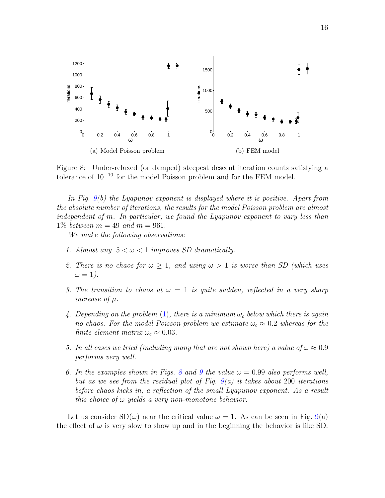

<span id="page-15-0"></span>Figure 8: Under-relaxed (or damped) steepest descent iteration counts satisfying a tolerance of 10<sup>−</sup><sup>10</sup> for the model Poisson problem and for the FEM model.

In Fig. [9\(](#page-16-0)b) the Lyapunov exponent is displayed where it is positive. Apart from the absolute number of iterations, the results for the model Poisson problem are almost independent of m. In particular, we found the Lyapunov exponent to vary less than 1% between  $m = 49$  and  $m = 961$ .

We make the following observations:

- 1. Almost any  $.5 < \omega < 1$  improves SD dramatically.
- 2. There is no chaos for  $\omega \geq 1$ , and using  $\omega > 1$  is worse than SD (which uses  $\omega = 1$ ).
- 3. The transition to chaos at  $\omega = 1$  is quite sudden, reflected in a very sharp increase of µ.
- 4. Depending on the problem [\(1\)](#page-1-0), there is a minimum  $\omega_c$  below which there is again no chaos. For the model Poisson problem we estimate  $\omega_c \approx 0.2$  whereas for the finite element matrix  $\omega_c \approx 0.03$ .
- 5. In all cases we tried (including many that are not shown here) a value of  $\omega \approx 0.9$ performs very well.
- 6. In the examples shown in Figs. [8](#page-15-0) and [9](#page-16-0) the value  $\omega = 0.99$  also performs well, but as we see from the residual plot of Fig.  $9(a)$  $9(a)$  it takes about 200 iterations before chaos kicks in, a reflection of the small Lyapunov exponent. As a result this choice of  $\omega$  yields a very non-monotone behavior.

Let us consider  $SD(\omega)$  near the critical value  $\omega = 1$ . As can be seen in Fig. [9\(](#page-16-0)a) the effect of  $\omega$  is very slow to show up and in the beginning the behavior is like SD.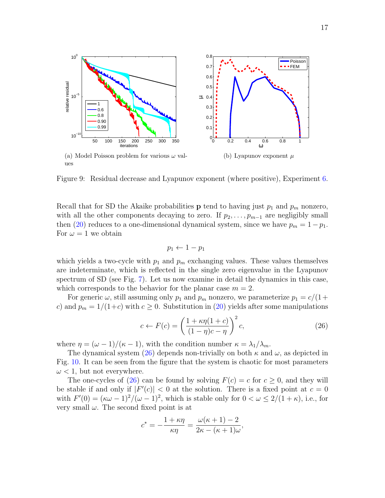

<span id="page-16-0"></span>(a) Model Poisson problem for various  $\omega$  values (b) Lyapunov exponent  $\mu$ 

relative residual

elative residual

Figure 9: Residual decrease and Lyapunov exponent (where positive), Experiment [6.](#page-14-1)

Recall that for SD the Akaike probabilities **p** tend to having just  $p_1$  and  $p_m$  nonzero, with all the other components decaying to zero. If  $p_2, \ldots, p_{m-1}$  are negligibly small then [\(20\)](#page-12-1) reduces to a one-dimensional dynamical system, since we have  $p_m = 1 - p_1$ . For  $\omega = 1$  we obtain

<span id="page-16-1"></span>
$$
p_1 \leftarrow 1 - p_1
$$

which yields a two-cycle with  $p_1$  and  $p_m$  exchanging values. These values themselves are indeterminate, which is reflected in the single zero eigenvalue in the Lyapunov spectrum of SD (see Fig. [7\)](#page-13-2). Let us now examine in detail the dynamics in this case, which corresponds to the behavior for the planar case  $m = 2$ .

For generic  $\omega$ , still assuming only  $p_1$  and  $p_m$  nonzero, we parameterize  $p_1 = c/(1+\alpha)$ c) and  $p_m = 1/(1+c)$  with  $c \ge 0$ . Substitution in [\(20\)](#page-12-1) yields after some manipulations

$$
c \leftarrow F(c) = \left(\frac{1 + \kappa \eta (1 + c)}{(1 - \eta)c - \eta}\right)^2 c,\tag{26}
$$

where  $\eta = (\omega - 1)/(\kappa - 1)$ , with the condition number  $\kappa = \lambda_1/\lambda_m$ .

The dynamical system [\(26\)](#page-16-1) depends non-trivially on both  $\kappa$  and  $\omega$ , as depicted in Fig. [10.](#page-17-0) It can be seen from the figure that the system is chaotic for most parameters  $\omega$  < 1, but not everywhere.

The one-cycles of [\(26\)](#page-16-1) can be found by solving  $F(c) = c$  for  $c \ge 0$ , and they will be stable if and only if  $|F'(c)| < 0$  at the solution. There is a fixed point at  $c = 0$ with  $F'(0) = (\kappa \omega - 1)^2/(\omega - 1)^2$ , which is stable only for  $0 < \omega \leq 2/(1 + \kappa)$ , i.e., for very small  $\omega$ . The second fixed point is at

$$
c^* = -\frac{1+\kappa\eta}{\kappa\eta} = \frac{\omega(\kappa+1)-2}{2\kappa-(\kappa+1)\omega},
$$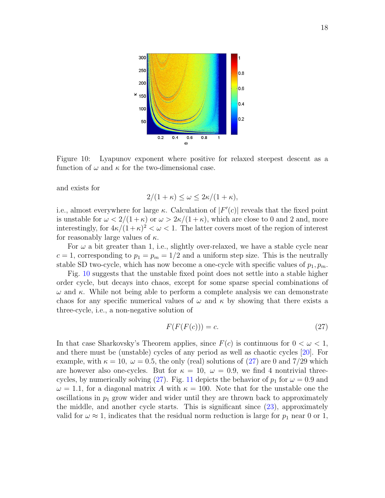

<span id="page-17-0"></span>Figure 10: Lyapunov exponent where positive for relaxed steepest descent as a function of  $\omega$  and  $\kappa$  for the two-dimensional case.

and exists for

$$
2/(1+\kappa) \le \omega \le 2\kappa/(1+\kappa),
$$

i.e., almost everywhere for large  $\kappa$ . Calculation of  $|F'(c)|$  reveals that the fixed point is unstable for  $\omega < 2/(1+\kappa)$  or  $\omega > 2\kappa/(1+\kappa)$ , which are close to 0 and 2 and, more interestingly, for  $4\kappa/(1+\kappa)^2 < \omega < 1$ . The latter covers most of the region of interest for reasonably large values of  $\kappa$ .

For  $\omega$  a bit greater than 1, i.e., slightly over-relaxed, we have a stable cycle near  $c = 1$ , corresponding to  $p_1 = p_m = 1/2$  and a uniform step size. This is the neutrally stable SD two-cycle, which has now become a one-cycle with specific values of  $p_1, p_m$ .

Fig. [10](#page-17-0) suggests that the unstable fixed point does not settle into a stable higher order cycle, but decays into chaos, except for some sparse special combinations of  $\omega$  and  $\kappa$ . While not being able to perform a complete analysis we can demonstrate chaos for any specific numerical values of  $\omega$  and  $\kappa$  by showing that there exists a three-cycle, i.e., a non-negative solution of

<span id="page-17-1"></span>
$$
F(F(F(c))) = c.\t\t(27)
$$

In that case Sharkovsky's Theorem applies, since  $F(c)$  is continuous for  $0 < \omega < 1$ , and there must be (unstable) cycles of any period as well as chaotic cycles [\[20\]](#page-26-9). For example, with  $\kappa = 10$ ,  $\omega = 0.5$ , the only (real) solutions of [\(27\)](#page-17-1) are 0 and 7/29 which are however also one-cycles. But for  $\kappa = 10$ ,  $\omega = 0.9$ , we find 4 nontrivial three-cycles, by numerically solving [\(27\)](#page-17-1). Fig. [11](#page-18-1) depicts the behavior of  $p_1$  for  $\omega = 0.9$  and  $\omega = 1.1$ , for a diagonal matrix A with  $\kappa = 100$ . Note that for the unstable one the oscillations in  $p_1$  grow wider and wider until they are thrown back to approximately the middle, and another cycle starts. This is significant since [\(23\)](#page-12-2), approximately valid for  $\omega \approx 1$ , indicates that the residual norm reduction is large for  $p_1$  near 0 or 1,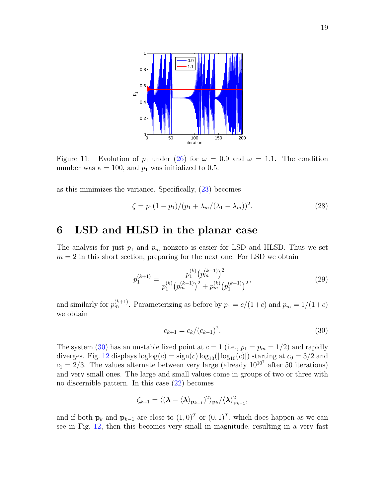

<span id="page-18-1"></span>Figure 11: Evolution of  $p_1$  under [\(26\)](#page-16-1) for  $\omega = 0.9$  and  $\omega = 1.1$ . The condition number was  $\kappa = 100$ , and  $p_1$  was initialized to 0.5.

as this minimizes the variance. Specifically, [\(23\)](#page-12-2) becomes

<span id="page-18-4"></span>
$$
\zeta = p_1(1 - p_1)/(p_1 + \lambda_m/(\lambda_1 - \lambda_m))^2.
$$
 (28)

#### <span id="page-18-0"></span>6 LSD and HLSD in the planar case

The analysis for just  $p_1$  and  $p_m$  nonzero is easier for LSD and HLSD. Thus we set  $m = 2$  in this short section, preparing for the next one. For LSD we obtain

$$
p_1^{(k+1)} = \frac{p_1^{(k)} \left(p_m^{(k-1)}\right)^2}{p_1^{(k)} \left(p_m^{(k-1)}\right)^2 + p_m^{(k)} \left(p_1^{(k-1)}\right)^2},\tag{29}
$$

and similarly for  $p_m^{(k+1)}$ . Parameterizing as before by  $p_1 = c/(1+c)$  and  $p_m = 1/(1+c)$ we obtain

<span id="page-18-3"></span><span id="page-18-2"></span>
$$
c_{k+1} = c_k / (c_{k-1})^2. \tag{30}
$$

The system [\(30\)](#page-18-2) has an unstable fixed point at  $c = 1$  (i.e.,  $p_1 = p_m = 1/2$ ) and rapidly diverges. Fig. [12](#page-19-1) displays  $loglog(c) = sign(c) log_{10}(|log_{10}(c)|)$  starting at  $c_0 = 3/2$  and  $c_1 = 2/3$ . The values alternate between very large (already  $10^{10^7}$  after 50 iterations) and very small ones. The large and small values come in groups of two or three with no discernible pattern. In this case [\(22\)](#page-12-3) becomes

$$
\zeta_{k+1} = \langle (\boldsymbol{\lambda} - \langle \boldsymbol{\lambda} \rangle_{\mathbf{p}_{k-1}})^2 \rangle_{\mathbf{p}_{k}} / \langle \boldsymbol{\lambda} \rangle_{\mathbf{p}_{k-1}}^2,
$$

and if both  $\mathbf{p}_k$  and  $\mathbf{p}_{k-1}$  are close to  $(1,0)^T$  or  $(0,1)^T$ , which does happen as we can see in Fig. [12,](#page-19-1) then this becomes very small in magnitude, resulting in a very fast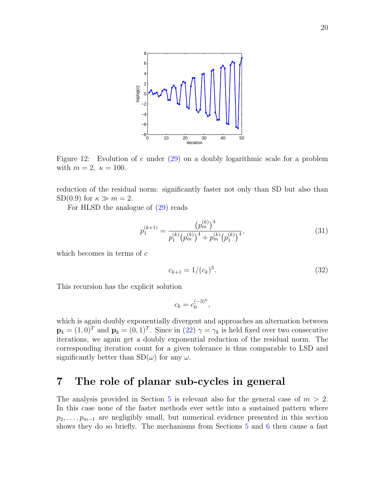

<span id="page-19-1"></span>Figure 12: Evolution of c under  $(29)$  on a doubly logarithmic scale for a problem with  $m = 2$ ,  $\kappa = 100$ .

reduction of the residual norm: significantly faster not only than SD but also than SD(0.9) for  $\kappa \gg m = 2$ .

For HLSD the analogue of [\(29\)](#page-18-3) reads

$$
p_1^{(k+1)} = \frac{\left(p_m^{(k)}\right)^4}{p_1^{(k)}\left(p_m^{(k)}\right)^4 + p_m^{(k)}\left(p_1^{(k)}\right)^4},\tag{31}
$$

which becomes in terms of  $c$ 

$$
c_{k+1} = 1/(c_k)^3.
$$
\n(32)

This recursion has the explicit solution

$$
c_k = c_0^{(-3)^k},
$$

which is again doubly exponentially divergent and approaches an alternation between  $\mathbf{p}_k = (1, 0)^T$  and  $\mathbf{p}_k = (0, 1)^T$ . Since in  $(22)$   $\gamma = \gamma_k$  is held fixed over two consecutive iterations, we again get a doubly exponential reduction of the residual norm. The corresponding iteration count for a given tolerance is thus comparable to LSD and significantly better than  $SD(\omega)$  for any  $\omega$ .

## <span id="page-19-0"></span>7 The role of planar sub-cycles in general

The analysis provided in Section [5](#page-14-0) is relevant also for the general case of  $m > 2$ . In this case none of the faster methods ever settle into a sustained pattern where  $p_2, \ldots, p_{m-1}$  are negligibly small, but numerical evidence presented in this section shows they do so briefly. The mechanisms from Sections [5](#page-14-0) and [6](#page-18-0) then cause a fast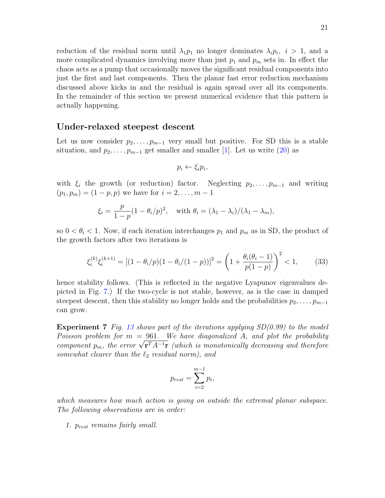reduction of the residual norm until  $\lambda_1 p_1$  no longer dominates  $\lambda_i p_i$ ,  $i > 1$ , and a more complicated dynamics involving more than just  $p_1$  and  $p_m$  sets in. In effect the chaos acts as a pump that occasionally moves the significant residual components into just the first and last components. Then the planar fast error reduction mechanism discussed above kicks in and the residual is again spread over all its components. In the remainder of this section we present numerical evidence that this pattern is actually happening.

#### Under-relaxed steepest descent

Let us now consider  $p_2, \ldots, p_{m-1}$  very small but positive. For SD this is a stable situation, and  $p_2, \ldots, p_{m-1}$  get smaller and smaller [\[1\]](#page-24-1). Let us write [\(20\)](#page-12-1) as

<span id="page-20-0"></span>
$$
p_i \leftarrow \xi_i p_i,
$$

with  $\xi_i$  the growth (or reduction) factor. Neglecting  $p_2, \ldots, p_{m-1}$  and writing  $(p_1, p_m) = (1 - p, p)$  we have for  $i = 2, ..., m - 1$ 

$$
\xi_i = \frac{p}{1-p}(1-\theta_i/p)^2, \quad \text{with } \theta_i = (\lambda_1 - \lambda_i)/(\lambda_1 - \lambda_m),
$$

so  $0 < \theta_i < 1$ . Now, if each iteration interchanges  $p_1$  and  $p_m$  as in SD, the product of the growth factors after two iterations is

$$
\xi_i^{(k)} \xi_i^{(k+1)} = \left[ (1 - \theta_i/p)(1 - \theta_i/(1-p)) \right]^2 = \left( 1 + \frac{\theta_i(\theta_i - 1)}{p(1-p)} \right)^2 < 1,\tag{33}
$$

hence stability follows. (This is reflected in the negative Lyapunov eigenvalues depicted in Fig. [7.](#page-13-2)) If the two-cycle is not stable, however, as is the case in damped steepest descent, then this stability no longer holds and the probabilities  $p_2, \ldots, p_{m-1}$ can grow.

**Experiment 7** Fig. [13](#page-21-0) shows part of the iterations applying  $SD(0.99)$  to the model Poisson problem for  $m = 961$ . We have diagonalized A, and plot the probability Poisson problem for  $m = 961$ . We have diagonalized A, and plot the probability component  $p_m$ , the error  $\sqrt{\mathbf{r}^T A^{-1} \mathbf{r}}$  (which is monotonically decreasing and therefore somewhat clearer than the  $\ell_2$  residual norm), and

$$
p_{rest} = \sum_{i=2}^{m-1} p_i,
$$

which measures how much action is going on outside the extremal planar subspace. The following observations are in order:

1. prest remains fairly small.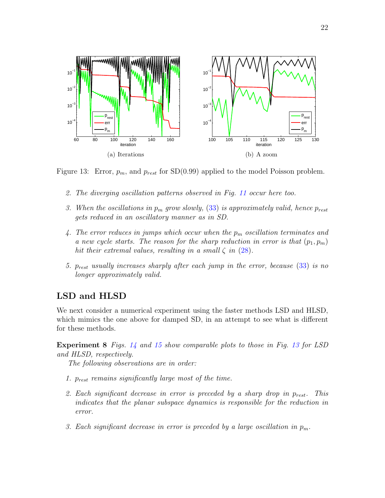

<span id="page-21-0"></span>Figure 13: Error,  $p_m$ , and  $p_{rest}$  for SD(0.99) applied to the model Poisson problem.

- 2. The diverging oscillation patterns observed in Fig. [11](#page-18-1) occur here too.
- 3. When the oscillations in  $p_m$  grow slowly, [\(33\)](#page-20-0) is approximately valid, hence  $p_{rest}$ gets reduced in an oscillatory manner as in SD.
- 4. The error reduces in jumps which occur when the  $p_m$  oscillation terminates and a new cycle starts. The reason for the sharp reduction in error is that  $(p_1, p_m)$ hit their extremal values, resulting in a small  $\zeta$  in [\(28\)](#page-18-4).
- 5.  $p_{rest}$  usually increases sharply after each jump in the error, because  $(33)$  is no longer approximately valid.

#### LSD and HLSD

We next consider a numerical experiment using the faster methods LSD and HLSD, which mimics the one above for damped SD, in an attempt to see what is different for these methods.

Experiment 8 Figs. [14](#page-22-1) and [15](#page-22-2) show comparable plots to those in Fig. [13](#page-21-0) for LSD and HLSD, respectively.

The following observations are in order:

- 1.  $p_{rest}$  remains significantly large most of the time.
- 2. Each significant decrease in error is preceded by a sharp drop in  $p_{rest}$ . This indicates that the planar subspace dynamics is responsible for the reduction in error.
- 3. Each significant decrease in error is preceded by a large oscillation in  $p_m$ .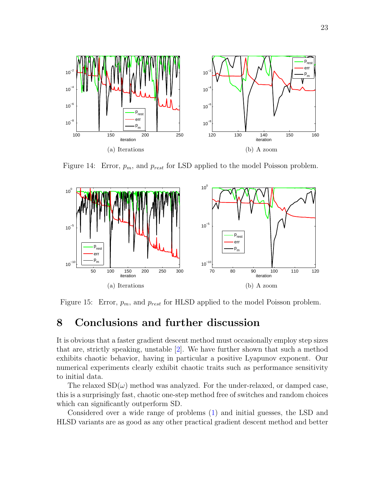

<span id="page-22-1"></span>Figure 14: Error,  $p_m$ , and  $p_{rest}$  for LSD applied to the model Poisson problem.



<span id="page-22-2"></span>Figure 15: Error,  $p_m$ , and  $p_{rest}$  for HLSD applied to the model Poisson problem.

### <span id="page-22-0"></span>8 Conclusions and further discussion

It is obvious that a faster gradient descent method must occasionally employ step sizes that are, strictly speaking, unstable [\[2\]](#page-24-2). We have further shown that such a method exhibits chaotic behavior, having in particular a positive Lyapunov exponent. Our numerical experiments clearly exhibit chaotic traits such as performance sensitivity to initial data.

The relaxed  $SD(\omega)$  method was analyzed. For the under-relaxed, or damped case, this is a surprisingly fast, chaotic one-step method free of switches and random choices which can significantly outperform SD.

Considered over a wide range of problems [\(1\)](#page-1-0) and initial guesses, the LSD and HLSD variants are as good as any other practical gradient descent method and better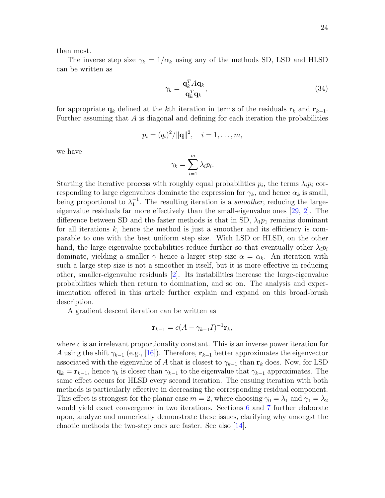than most.

The inverse step size  $\gamma_k = 1/\alpha_k$  using any of the methods SD, LSD and HLSD can be written as

$$
\gamma_k = \frac{\mathbf{q}_k^T A \mathbf{q}_k}{\mathbf{q}_k^T \mathbf{q}_k},\tag{34}
$$

for appropriate  $\mathbf{q}_k$  defined at the kth iteration in terms of the residuals  $\mathbf{r}_k$  and  $\mathbf{r}_{k-1}$ . Further assuming that A is diagonal and defining for each iteration the probabilities

$$
p_i = (q_i)^2 / ||\mathbf{q}||^2, \quad i = 1, \dots, m,
$$

we have

$$
\gamma_k = \sum_{i=1}^m \lambda_i p_i.
$$

Starting the iterative process with roughly equal probabilities  $p_i$ , the terms  $\lambda_i p_i$  corresponding to large eigenvalues dominate the expression for  $\gamma_k$ , and hence  $\alpha_k$  is small, being proportional to  $\lambda_1^{-1}$ . The resulting iteration is a *smoother*, reducing the largeeigenvalue residuals far more effectively than the small-eigenvalue ones [\[29,](#page-26-10) [2\]](#page-24-2). The difference between SD and the faster methods is that in SD,  $\lambda_1 p_1$  remains dominant for all iterations  $k$ , hence the method is just a smoother and its efficiency is comparable to one with the best uniform step size. With LSD or HLSD, on the other hand, the large-eigenvalue probabilities reduce further so that eventually other  $\lambda_i p_i$ dominate, yielding a smaller  $\gamma$  hence a larger step size  $\alpha = \alpha_k$ . An iteration with such a large step size is not a smoother in itself, but it is more effective in reducing other, smaller-eigenvalue residuals [\[2\]](#page-24-2). Its instabilities increase the large-eigenvalue probabilities which then return to domination, and so on. The analysis and experimentation offered in this article further explain and expand on this broad-brush description.

A gradient descent iteration can be written as

$$
\mathbf{r}_{k-1} = c(A - \gamma_{k-1}I)^{-1}\mathbf{r}_k,
$$

where  $c$  is an irrelevant proportionality constant. This is an inverse power iteration for A using the shift  $\gamma_{k-1}$  (e.g., [\[16\]](#page-25-13)). Therefore,  $\mathbf{r}_{k-1}$  better approximates the eigenvector associated with the eigenvalue of A that is closest to  $\gamma_{k-1}$  than  $\mathbf{r}_k$  does. Now, for LSD  $\mathbf{q}_k = \mathbf{r}_{k-1}$ , hence  $\gamma_k$  is closer than  $\gamma_{k-1}$  to the eigenvalue that  $\gamma_{k-1}$  approximates. The same effect occurs for HLSD every second iteration. The ensuing iteration with both methods is particularly effective in decreasing the corresponding residual component. This effect is strongest for the planar case  $m = 2$ , where choosing  $\gamma_0 = \lambda_1$  and  $\gamma_1 = \lambda_2$ would yield exact convergence in two iterations. Sections [6](#page-18-0) and [7](#page-19-0) further elaborate upon, analyze and numerically demonstrate these issues, clarifying why amongst the chaotic methods the two-step ones are faster. See also [\[14\]](#page-25-14).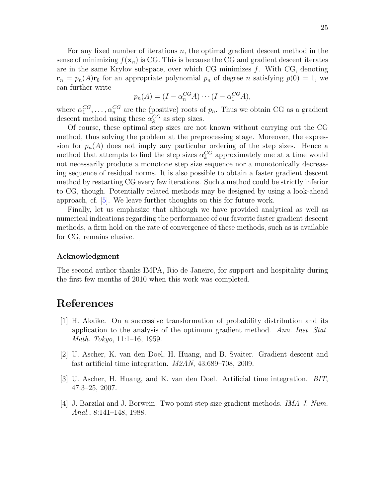For any fixed number of iterations  $n$ , the optimal gradient descent method in the sense of minimizing  $f(\mathbf{x}_n)$  is CG. This is because the CG and gradient descent iterates are in the same Krylov subspace, over which CG minimizes  $f$ . With CG, denoting  $\mathbf{r}_n = p_n(A)\mathbf{r}_0$  for an appropriate polynomial  $p_n$  of degree n satisfying  $p(0) = 1$ , we can further write

$$
p_n(A) = (I - \alpha_n^{CG} A) \cdots (I - \alpha_1^{CG} A),
$$

where  $\alpha_1^{CG}, \ldots, \alpha_n^{CG}$  are the (positive) roots of  $p_n$ . Thus we obtain CG as a gradient descent method using these  $\alpha_k^{CG}$  as step sizes.

Of course, these optimal step sizes are not known without carrying out the CG method, thus solving the problem at the preprocessing stage. Moreover, the expression for  $p_n(A)$  does not imply any particular ordering of the step sizes. Hence a method that attempts to find the step sizes  $\alpha_k^{CG}$  approximately one at a time would not necessarily produce a monotone step size sequence nor a monotonically decreasing sequence of residual norms. It is also possible to obtain a faster gradient descent method by restarting CG every few iterations. Such a method could be strictly inferior to CG, though. Potentially related methods may be designed by using a look-ahead approach, cf. [\[5\]](#page-25-4). We leave further thoughts on this for future work.

Finally, let us emphasize that although we have provided analytical as well as numerical indications regarding the performance of our favorite faster gradient descent methods, a firm hold on the rate of convergence of these methods, such as is available for CG, remains elusive.

#### Acknowledgment

The second author thanks IMPA, Rio de Janeiro, for support and hospitality during the first few months of 2010 when this work was completed.

#### References

- <span id="page-24-1"></span>[1] H. Akaike. On a successive transformation of probability distribution and its application to the analysis of the optimum gradient method. Ann. Inst. Stat. Math. Tokyo, 11:1–16, 1959.
- <span id="page-24-2"></span>[2] U. Ascher, K. van den Doel, H. Huang, and B. Svaiter. Gradient descent and fast artificial time integration. M2AN, 43:689–708, 2009.
- <span id="page-24-3"></span>[3] U. Ascher, H. Huang, and K. van den Doel. Artificial time integration. BIT, 47:3–25, 2007.
- <span id="page-24-0"></span>[4] J. Barzilai and J. Borwein. Two point step size gradient methods. IMA J. Num. Anal., 8:141–148, 1988.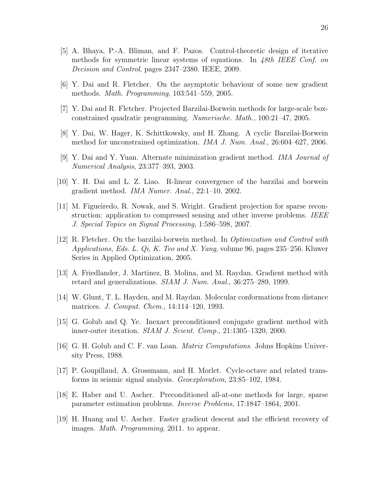- <span id="page-25-4"></span>[5] A. Bhaya, P.-A. Bliman, and F. Pazos. Control-theoretic design of iterative methods for symmetric linear systems of equations. In 48th IEEE Conf. on Decision and Control, pages 2347–2380. IEEE, 2009.
- <span id="page-25-1"></span>[6] Y. Dai and R. Fletcher. On the asymptotic behaviour of some new gradient methods. Math. Programming, 103:541–559, 2005.
- <span id="page-25-5"></span>[7] Y. Dai and R. Fletcher. Projected Barzilai-Borwein methods for large-scale boxconstrained quadratic programming. Numerische. Math., 100:21–47, 2005.
- <span id="page-25-3"></span>[8] Y. Dai, W. Hager, K. Schittkowsky, and H. Zhang. A cyclic Barzilai-Borwein method for unconstrained optimization. *IMA J. Num. Anal.*, 26:604–627, 2006.
- <span id="page-25-11"></span>[9] Y. Dai and Y. Yuan. Alternate minimization gradient method. IMA Journal of Numerical Analysis, 23:377–393, 2003.
- <span id="page-25-10"></span>[10] Y. H. Dai and L. Z. Liao. R-linear convergence of the barzilai and borwein gradient method. IMA Numer. Anal., 22:1–10, 2002.
- <span id="page-25-6"></span>[11] M. Figueiredo, R. Nowak, and S. Wright. Gradient projection for sparse reconstruction: application to compressed sensing and other inverse problems. IEEE J. Special Topics on Signal Processing, 1:586–598, 2007.
- <span id="page-25-2"></span>[12] R. Fletcher. On the barzilai-borwein method. In Optimization and Control with Applications, Eds. L.  $Qi, K.$  Teo and X. Yang, volume 96, pages 235–256. Kluwer Series in Applied Optimization, 2005.
- <span id="page-25-0"></span>[13] A. Friedlander, J. Martinez, B. Molina, and M. Raydan. Gradient method with retard and generalizations. SIAM J. Num. Anal., 36:275–289, 1999.
- <span id="page-25-14"></span>[14] W. Glunt, T. L. Hayden, and M. Raydan. Molecular conformations from distance matrices. J. Comput. Chem., 14:114–120, 1993.
- <span id="page-25-8"></span>[15] G. Golub and Q. Ye. Inexact preconditioned conjugate gradient method with inner-outer iteration. SIAM J. Scient. Comp., 21:1305–1320, 2000.
- <span id="page-25-13"></span>[16] G. H. Golub and C. F. van Loan. Matrix Computations. Johns Hopkins University Press, 1988.
- <span id="page-25-12"></span>[17] P. Goupillaud, A. Grossmann, and H. Morlet. Cycle-octave and related transforms in seismic signal analysis. Geoexploration, 23:85–102, 1984.
- <span id="page-25-9"></span>[18] E. Haber and U. Ascher. Preconditioned all-at-one methods for large, sparse parameter estimation problems. Inverse Problems, 17:1847–1864, 2001.
- <span id="page-25-7"></span>[19] H. Huang and U. Ascher. Faster gradient descent and the efficient recovery of images. Math. Programming, 2011. to appear.